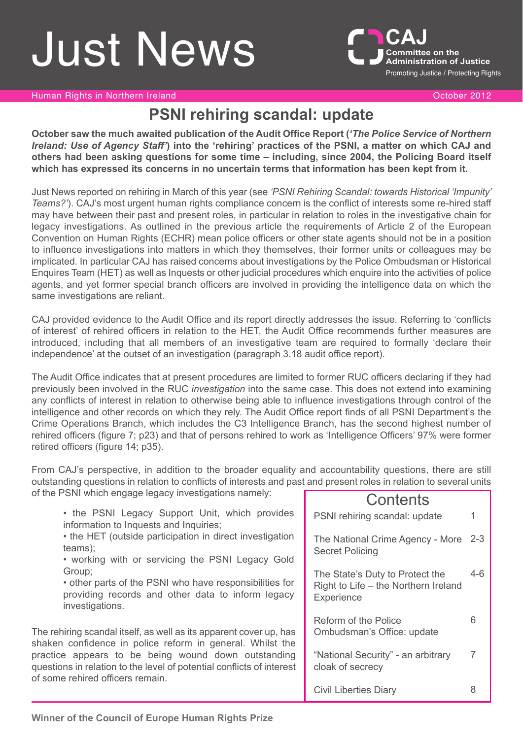# **Just News**



Human Rights in Northern Ireland October 2012

# **PSNI rehiring scandal: update**

**October saw the much awaited publication of the Audit Office Report (***'The Police Service of Northern* Ireland: Use of Agency Staff') into the 'rehiring' practices of the PSNI, a matter on which CAJ and **others had been asking questions for some time – including, since 2004, the Policing Board itself which has expressed its concerns in no uncertain terms that information has been kept from it.**

Just News reported on rehiring in March of this year (see *'PSNI Rehiring Scandal: towards Historical 'Impunity' Teams?'*). CAJ's most urgent human rights compliance concern is the conflict of interests some re-hired staff may have between their past and present roles, in particular in relation to roles in the investigative chain for legacy investigations. As outlined in the previous article the requirements of Article 2 of the European Convention on Human Rights (ECHR) mean police officers or other state agents should not be in a position to influence investigations into matters in which they themselves, their former units or colleagues may be implicated. In particular CAJ has raised concerns about investigations by the Police Ombudsman or Historical Enquires Team (HET) as well as Inquests or other judicial procedures which enquire into the activities of police agents, and yet former special branch officers are involved in providing the intelligence data on which the same investigations are reliant.

CAJ provided evidence to the Audit Office and its report directly addresses the issue. Referring to 'conflicts of interest' of rehired officers in relation to the HET, the Audit Office recommends further measures are introduced, including that all members of an investigative team are required to formally 'declare their independence' at the outset of an investigation (paragraph 3.18 audit office report).

The Audit Office indicates that at present procedures are limited to former RUC officers declaring if they had previously been involved in the RUC *investigation* into the same case. This does not extend into examining any conflicts of interest in relation to otherwise being able to influence investigations through control of the intelligence and other records on which they rely. The Audit Office report finds of all PSNI Department's the Crime Operations Branch, which includes the C3 Intelligence Branch, has the second highest number of rehired officers (figure 7; p23) and that of persons rehired to work as 'Intelligence Officers' 97% were former retired officers (figure 14; p35).

Contante From CAJ's perspective, in addition to the broader equality and accountability questions, there are still outstanding questions in relation to conflicts of interests and past and present roles in relation to several units of the PSNI which engage legacy investigations namely:

|                                                                                                                                                                  | <b>UULILGI ILJ</b>                                                                    |       |
|------------------------------------------------------------------------------------------------------------------------------------------------------------------|---------------------------------------------------------------------------------------|-------|
| • the PSNI Legacy Support Unit, which provides<br>information to Inquests and Inquiries;                                                                         | PSNI rehiring scandal: update                                                         |       |
| • the HET (outside participation in direct investigation<br>teams);<br>• working with or servicing the PSNI Legacy Gold                                          | The National Crime Agency - More 2-3<br><b>Secret Policing</b>                        |       |
| Group;<br>• other parts of the PSNI who have responsibilities for<br>providing records and other data to inform legacy<br>investigations.                        | The State's Duty to Protect the<br>Right to Life - the Northern Ireland<br>Experience | $4-6$ |
| The rehiring scandal itself, as well as its apparent cover up, has<br>shaken confidence in police reform in general. Whilst the                                  | Reform of the Police<br>Ombudsman's Office: update                                    | 6     |
| practice appears to be being wound down outstanding<br>questions in relation to the level of potential conflicts of interest<br>of some rehired officers remain. | "National Security" - an arbitrary<br>cloak of secrecy                                |       |
|                                                                                                                                                                  | <b>Civil Liberties Diary</b>                                                          | 8     |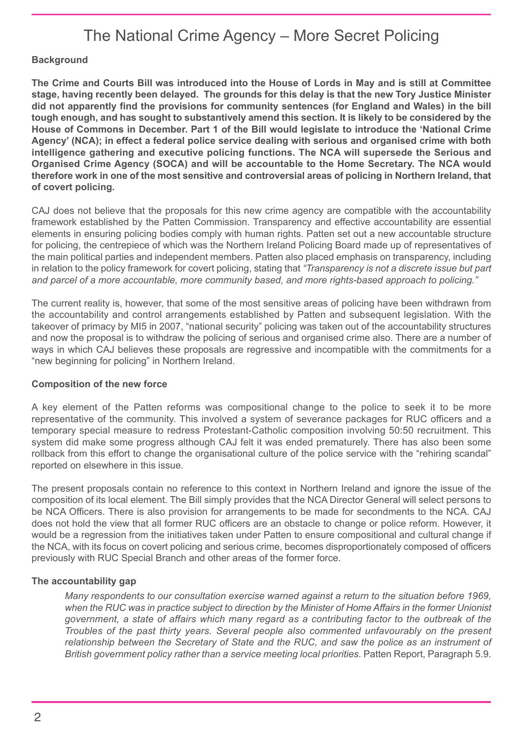# The National Crime Agency – More Secret Policing

# **Background**

The Crime and Courts Bill was introduced into the House of Lords in May and is still at Committee **stage, having recently been delayed. The grounds for this delay is that the new Tory Justice Minister did not apparently find the provisions for community sentences (for England and Wales) in the bill** tough enough, and has sought to substantively amend this section. It is likely to be considered by the **House of Commons in December. Part 1 of the Bill would legislate to introduce the 'National Crime Agency' (NCA); in effect a federal police service dealing with serious and organised crime with both intelligence gathering and executive policing functions. The NCA will supersede the Serious and Organised Crime Agency (SOCA) and will be accountable to the Home Secretary. The NCA would therefore work in one of the most sensitive and controversial areas of policing in Northern Ireland, that of covert policing.**

CAJ does not believe that the proposals for this new crime agency are compatible with the accountability framework established by the Patten Commission. Transparency and effective accountability are essential elements in ensuring policing bodies comply with human rights. Patten set out a new accountable structure for policing, the centrepiece of which was the Northern Ireland Policing Board made up of representatives of the main political parties and independent members. Patten also placed emphasis on transparency, including in relation to the policy framework for covert policing, stating that *"Transparency is not a discrete issue but part and parcel of a more accountable, more community based, and more rights-based approach to policing."*

The current reality is, however, that some of the most sensitive areas of policing have been withdrawn from the accountability and control arrangements established by Patten and subsequent legislation. With the takeover of primacy by MI5 in 2007, "national security" policing was taken out of the accountability structures and now the proposal is to withdraw the policing of serious and organised crime also. There are a number of ways in which CAJ believes these proposals are regressive and incompatible with the commitments for a "new beginning for policing" in Northern Ireland.

#### **Composition of the new force**

A key element of the Patten reforms was compositional change to the police to seek it to be more representative of the community. This involved a system of severance packages for RUC officers and a temporary special measure to redress Protestant-Catholic composition involving 50:50 recruitment. This system did make some progress although CAJ felt it was ended prematurely. There has also been some rollback from this effort to change the organisational culture of the police service with the "rehiring scandal" reported on elsewhere in this issue.

The present proposals contain no reference to this context in Northern Ireland and ignore the issue of the composition of its local element. The Bill simply provides that the NCA Director General will select persons to be NCA Officers. There is also provision for arrangements to be made for secondments to the NCA. CAJ does not hold the view that all former RUC officers are an obstacle to change or police reform. However, it would be a regression from the initiatives taken under Patten to ensure compositional and cultural change if the NCA, with its focus on covert policing and serious crime, becomes disproportionately composed of officers previously with RUC Special Branch and other areas of the former force.

#### **The accountability gap**

*Many respondents to our consultation exercise warned against a return to the situation before 1969,* when the RUC was in practice subject to direction by the Minister of Home Affairs in the former Unionist *government, a state of affairs which many regard as a contributing factor to the outbreak of the Troubles of the past thirty years. Several people also commented unfavourably on the present relationship between the Secretary of State and the RUC, and saw the police as an instrument of British government policy rather than a service meeting local priorities.* Patten Report, Paragraph 5.9.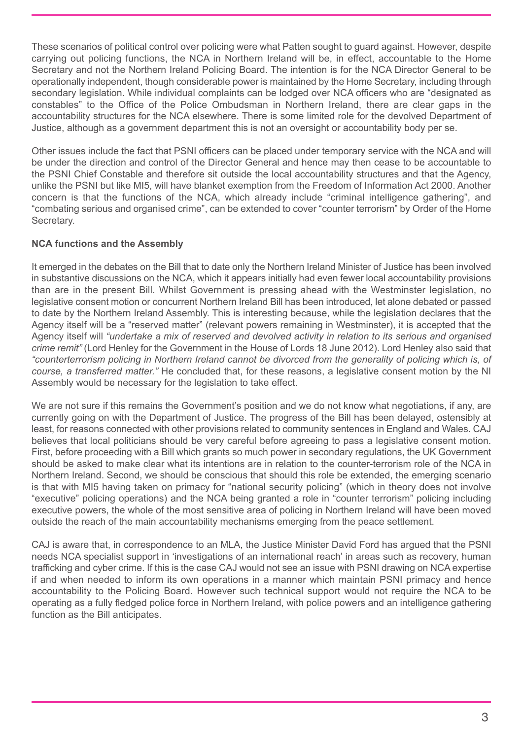These scenarios of political control over policing were what Patten sought to guard against. However, despite carrying out policing functions, the NCA in Northern Ireland will be, in effect, accountable to the Home Secretary and not the Northern Ireland Policing Board. The intention is for the NCA Director General to be operationally independent, though considerable power is maintained by the Home Secretary, including through secondary legislation. While individual complaints can be lodged over NCA officers who are "designated as constables" to the Office of the Police Ombudsman in Northern Ireland, there are clear gaps in the accountability structures for the NCA elsewhere. There is some limited role for the devolved Department of Justice, although as a government department this is not an oversight or accountability body per se.

Other issues include the fact that PSNI officers can be placed under temporary service with the NCA and will be under the direction and control of the Director General and hence may then cease to be accountable to the PSNI Chief Constable and therefore sit outside the local accountability structures and that the Agency, unlike the PSNI but like MI5, will have blanket exemption from the Freedom of Information Act 2000. Another concern is that the functions of the NCA, which already include "criminal intelligence gathering", and "combating serious and organised crime", can be extended to cover "counter terrorism" by Order of the Home Secretary.

#### **NCA functions and the Assembly**

It emerged in the debates on the Bill that to date only the Northern Ireland Minister of Justice has been involved in substantive discussions on the NCA, which it appears initially had even fewer local accountability provisions than are in the present Bill. Whilst Government is pressing ahead with the Westminster legislation, no legislative consent motion or concurrent Northern Ireland Bill has been introduced, let alone debated or passed to date by the Northern Ireland Assembly. This is interesting because, while the legislation declares that the Agency itself will be a "reserved matter" (relevant powers remaining in Westminster), it is accepted that the Agency itself will *"undertake a mix of reserved and devolved activity in relation to its serious and organised crime remit"* (Lord Henley for the Government in the House of Lords 18 June 2012). Lord Henley also said that *"counterterrorism policing in Northern Ireland cannot be divorced from the generality of policing which is, of course, a transferred matter."* He concluded that, for these reasons, a legislative consent motion by the NI Assembly would be necessary for the legislation to take effect.

We are not sure if this remains the Government's position and we do not know what negotiations, if any, are currently going on with the Department of Justice. The progress of the Bill has been delayed, ostensibly at least, for reasons connected with other provisions related to community sentences in England and Wales. CAJ believes that local politicians should be very careful before agreeing to pass a legislative consent motion. First, before proceeding with a Bill which grants so much power in secondary regulations, the UK Government should be asked to make clear what its intentions are in relation to the counter-terrorism role of the NCA in Northern Ireland. Second, we should be conscious that should this role be extended, the emerging scenario is that with MI5 having taken on primacy for "national security policing" (which in theory does not involve "executive" policing operations) and the NCA being granted a role in "counter terrorism" policing including executive powers, the whole of the most sensitive area of policing in Northern Ireland will have been moved outside the reach of the main accountability mechanisms emerging from the peace settlement.

CAJ is aware that, in correspondence to an MLA, the Justice Minister David Ford has argued that the PSNI needs NCA specialist support in 'investigations of an international reach' in areas such as recovery, human trafficking and cyber crime. If this is the case CAJ would not see an issue with PSNI drawing on NCA expertise if and when needed to inform its own operations in a manner which maintain PSNI primacy and hence accountability to the Policing Board. However such technical support would not require the NCA to be operating as a fully fledged police force in Northern Ireland, with police powers and an intelligence gathering function as the Bill anticipates.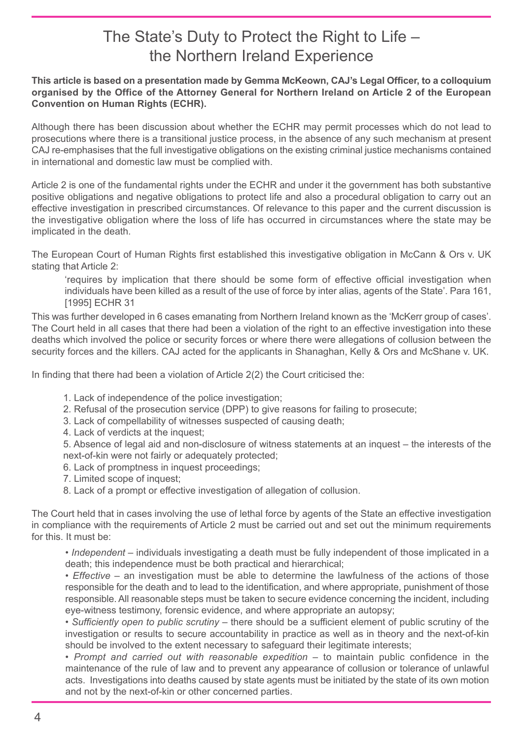# The State's Duty to Protect the Right to Life – the Northern Ireland Experience

#### **This article is based on a presentation made by Gemma McKeown, CAJ's Legal Officer, to a colloquium organised by the Office of the Attorney General for Northern Ireland on Article 2 of the European Convention on Human Rights (ECHR).**

Although there has been discussion about whether the ECHR may permit processes which do not lead to prosecutions where there is a transitional justice process, in the absence of any such mechanism at present CAJ re-emphasises that the full investigative obligations on the existing criminal justice mechanisms contained in international and domestic law must be complied with.

Article 2 is one of the fundamental rights under the ECHR and under it the government has both substantive positive obligations and negative obligations to protect life and also a procedural obligation to carry out an effective investigation in prescribed circumstances. Of relevance to this paper and the current discussion is the investigative obligation where the loss of life has occurred in circumstances where the state may be implicated in the death.

The European Court of Human Rights first established this investigative obligation in McCann & Ors v. UK stating that Article 2:

'requires by implication that there should be some form of effective official investigation when individuals have been killed as a result of the use of force by inter alias, agents of the State'. Para 161, [1995] ECHR 31

This was further developed in 6 cases emanating from Northern Ireland known as the 'McKerr group of cases'. The Court held in all cases that there had been a violation of the right to an effective investigation into these deaths which involved the police or security forces or where there were allegations of collusion between the security forces and the killers. CAJ acted for the applicants in Shanaghan, Kelly & Ors and McShane v. UK.

In finding that there had been a violation of Article 2(2) the Court criticised the:

- 1. Lack of independence of the police investigation;
- 2. Refusal of the prosecution service (DPP) to give reasons for failing to prosecute;
- 3. Lack of compellability of witnesses suspected of causing death;
- 4. Lack of verdicts at the inquest;

5. Absence of legal aid and non-disclosure of witness statements at an inquest – the interests of the next-of-kin were not fairly or adequately protected;

- 6. Lack of promptness in inquest proceedings;
- 7. Limited scope of inquest;
- 8. Lack of a prompt or effective investigation of allegation of collusion.

The Court held that in cases involving the use of lethal force by agents of the State an effective investigation in compliance with the requirements of Article 2 must be carried out and set out the minimum requirements for this. It must be:

• *Independent* – individuals investigating a death must be fully independent of those implicated in a death; this independence must be both practical and hierarchical;

• *Effective* – an investigation must be able to determine the lawfulness of the actions of those responsible for the death and to lead to the identification, and where appropriate, punishment of those responsible. All reasonable steps must be taken to secure evidence concerning the incident, including eye-witness testimony, forensic evidence, and where appropriate an autopsy;

• *Sufficiently open to public scrutiny* – there should be a sufficient element of public scrutiny of the investigation or results to secure accountability in practice as well as in theory and the next-of-kin should be involved to the extent necessary to safeguard their legitimate interests;

• *Prompt and carried out with reasonable expedition* – to maintain public confidence in the maintenance of the rule of law and to prevent any appearance of collusion or tolerance of unlawful acts. Investigations into deaths caused by state agents must be initiated by the state of its own motion and not by the next-of-kin or other concerned parties.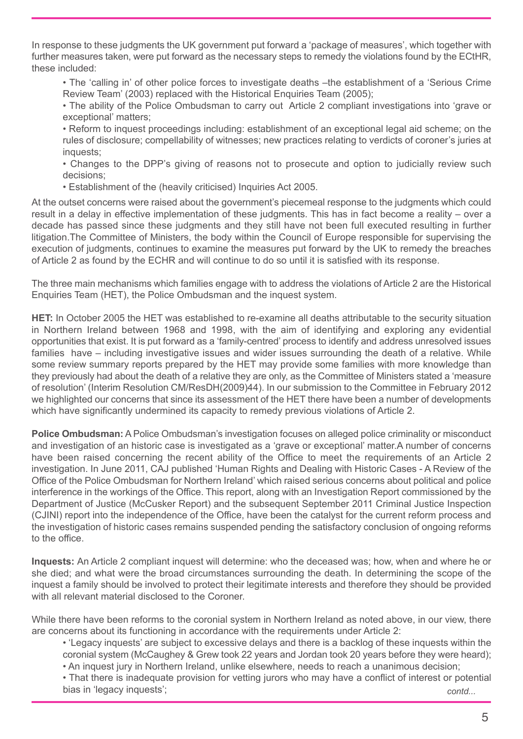In response to these judgments the UK government put forward a 'package of measures', which together with further measures taken, were put forward as the necessary steps to remedy the violations found by the ECtHR, these included:

• The 'calling in' of other police forces to investigate deaths –the establishment of a 'Serious Crime Review Team' (2003) replaced with the Historical Enquiries Team (2005);

• The ability of the Police Ombudsman to carry out Article 2 compliant investigations into 'grave or exceptional' matters;

• Reform to inquest proceedings including: establishment of an exceptional legal aid scheme; on the rules of disclosure; compellability of witnesses; new practices relating to verdicts of coroner's juries at inquests;

• Changes to the DPP's giving of reasons not to prosecute and option to judicially review such decisions;

• Establishment of the (heavily criticised) Inquiries Act 2005.

At the outset concerns were raised about the government's piecemeal response to the judgments which could result in a delay in effective implementation of these judgments. This has in fact become a reality – over a decade has passed since these judgments and they still have not been full executed resulting in further litigation.The Committee of Ministers, the body within the Council of Europe responsible for supervising the execution of judgments, continues to examine the measures put forward by the UK to remedy the breaches of Article 2 as found by the ECHR and will continue to do so until it is satisfied with its response.

The three main mechanisms which families engage with to address the violations of Article 2 are the Historical Enquiries Team (HET), the Police Ombudsman and the inquest system.

**HET:** In October 2005 the HET was established to re-examine all deaths attributable to the security situation in Northern Ireland between 1968 and 1998, with the aim of identifying and exploring any evidential opportunities that exist. It is put forward as a 'family-centred' process to identify and address unresolved issues families have – including investigative issues and wider issues surrounding the death of a relative. While some review summary reports prepared by the HET may provide some families with more knowledge than they previously had about the death of a relative they are only, as the Committee of Ministers stated a 'measure of resolution' (Interim Resolution CM/ResDH(2009)44). In our submission to the Committee in February 2012 we highlighted our concerns that since its assessment of the HET there have been a number of developments which have significantly undermined its capacity to remedy previous violations of Article 2.

**Police Ombudsman:** A Police Ombudsman's investigation focuses on alleged police criminality or misconduct and investigation of an historic case is investigated as a 'grave or exceptional' matter.A number of concerns have been raised concerning the recent ability of the Office to meet the requirements of an Article 2 investigation. In June 2011, CAJ published 'Human Rights and Dealing with Historic Cases - A Review of the Office of the Police Ombudsman for Northern Ireland' which raised serious concerns about political and police interference in the workings of the Office. This report, along with an Investigation Report commissioned by the Department of Justice (McCusker Report) and the subsequent September 2011 Criminal Justice Inspection (CJINI) report into the independence of the Office, have been the catalyst for the current reform process and the investigation of historic cases remains suspended pending the satisfactory conclusion of ongoing reforms to the office.

**Inquests:** An Article 2 compliant inquest will determine: who the deceased was; how, when and where he or she died; and what were the broad circumstances surrounding the death. In determining the scope of the inquest a family should be involved to protect their legitimate interests and therefore they should be provided with all relevant material disclosed to the Coroner.

While there have been reforms to the coronial system in Northern Ireland as noted above, in our view, there are concerns about its functioning in accordance with the requirements under Article 2:

• 'Legacy inquests' are subject to excessive delays and there is a backlog of these inquests within the coronial system (McCaughey & Grew took 22 years and Jordan took 20 years before they were heard); • An inquest jury in Northern Ireland, unlike elsewhere, needs to reach a unanimous decision;

• That there is inadequate provision for vetting jurors who may have a conflict of interest or potential bias in 'legacy inquests'; *contd...*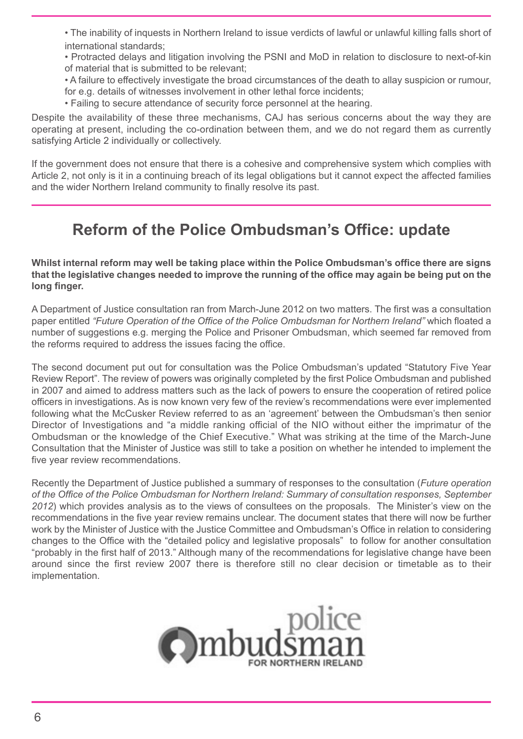• The inability of inquests in Northern Ireland to issue verdicts of lawful or unlawful killing falls short of international standards;

• Protracted delays and litigation involving the PSNI and MoD in relation to disclosure to next-of-kin of material that is submitted to be relevant;

• A failure to effectively investigate the broad circumstances of the death to allay suspicion or rumour, for e.g. details of witnesses involvement in other lethal force incidents;

• Failing to secure attendance of security force personnel at the hearing.

Despite the availability of these three mechanisms, CAJ has serious concerns about the way they are operating at present, including the co-ordination between them, and we do not regard them as currently satisfying Article 2 individually or collectively.

If the government does not ensure that there is a cohesive and comprehensive system which complies with Article 2, not only is it in a continuing breach of its legal obligations but it cannot expect the affected families and the wider Northern Ireland community to finally resolve its past.

# **Reform of the Police Ombudsman's Office: update**

**Whilst internal reform may well be taking place within the Police Ombudsman's office there are signs** that the legislative changes needed to improve the running of the office may again be being put on the **long finger.**

A Department of Justice consultation ran from March-June 2012 on two matters. The first was a consultation paper entitled *"Future Operation of the Office of the Police Ombudsman for Northern Ireland"* which floated a number of suggestions e.g. merging the Police and Prisoner Ombudsman, which seemed far removed from the reforms required to address the issues facing the office.

The second document put out for consultation was the Police Ombudsman's updated "Statutory Five Year Review Report". The review of powers was originally completed by the first Police Ombudsman and published in 2007 and aimed to address matters such as the lack of powers to ensure the cooperation of retired police officers in investigations. As is now known very few of the review's recommendations were ever implemented following what the McCusker Review referred to as an 'agreement' between the Ombudsman's then senior Director of Investigations and "a middle ranking official of the NIO without either the imprimatur of the Ombudsman or the knowledge of the Chief Executive." What was striking at the time of the March-June Consultation that the Minister of Justice was still to take a position on whether he intended to implement the five year review recommendations.

Recently the Department of Justice published a summary of responses to the consultation (*Future operation of the Office of the Police Ombudsman for Northern Ireland: Summary of consultation responses, September 2012*) which provides analysis as to the views of consultees on the proposals. The Minister's view on the recommendations in the five year review remains unclear. The document states that there will now be further work by the Minister of Justice with the Justice Committee and Ombudsman's Office in relation to considering changes to the Office with the "detailed policy and legislative proposals" to follow for another consultation "probably in the first half of 2013." Although many of the recommendations for legislative change have been around since the first review 2007 there is therefore still no clear decision or timetable as to their implementation.

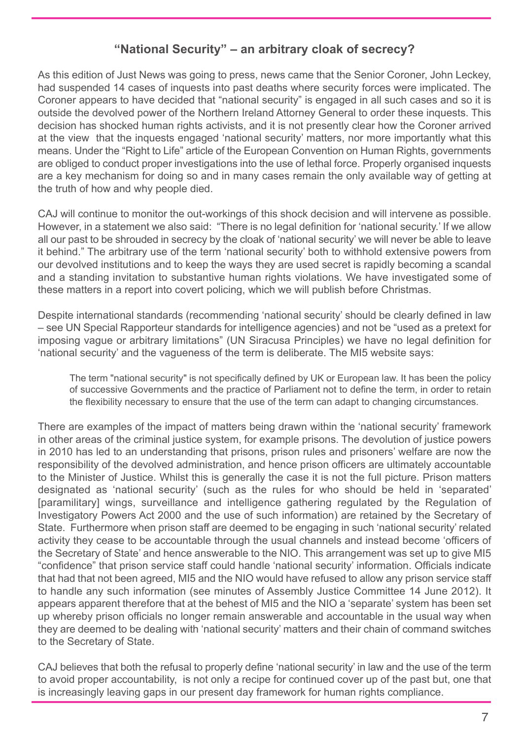# **"National Security" – an arbitrary cloak of secrecy?**

As this edition of Just News was going to press, news came that the Senior Coroner, John Leckey, had suspended 14 cases of inquests into past deaths where security forces were implicated. The Coroner appears to have decided that "national security" is engaged in all such cases and so it is outside the devolved power of the Northern Ireland Attorney General to order these inquests. This decision has shocked human rights activists, and it is not presently clear how the Coroner arrived at the view that the inquests engaged 'national security' matters, nor more importantly what this means. Under the "Right to Life" article of the European Convention on Human Rights, governments are obliged to conduct proper investigations into the use of lethal force. Properly organised inquests are a key mechanism for doing so and in many cases remain the only available way of getting at the truth of how and why people died.

CAJ will continue to monitor the out-workings of this shock decision and will intervene as possible. However, in a statement we also said: "There is no legal definition for 'national security.' If we allow all our past to be shrouded in secrecy by the cloak of 'national security' we will never be able to leave it behind." The arbitrary use of the term 'national security' both to withhold extensive powers from our devolved institutions and to keep the ways they are used secret is rapidly becoming a scandal and a standing invitation to substantive human rights violations. We have investigated some of these matters in a report into covert policing, which we will publish before Christmas.

Despite international standards (recommending 'national security' should be clearly defined in law – see UN Special Rapporteur standards for intelligence agencies) and not be "used as a pretext for imposing vague or arbitrary limitations" (UN Siracusa Principles) we have no legal definition for 'national security' and the vagueness of the term is deliberate. The MI5 website says:

The term "national security" is not specifically defined by UK or European law. It has been the policy of successive Governments and the practice of Parliament not to define the term, in order to retain the flexibility necessary to ensure that the use of the term can adapt to changing circumstances.

There are examples of the impact of matters being drawn within the 'national security' framework in other areas of the criminal justice system, for example prisons. The devolution of justice powers in 2010 has led to an understanding that prisons, prison rules and prisoners' welfare are now the responsibility of the devolved administration, and hence prison officers are ultimately accountable to the Minister of Justice. Whilst this is generally the case it is not the full picture. Prison matters designated as 'national security' (such as the rules for who should be held in 'separated' [paramilitary] wings, surveillance and intelligence gathering regulated by the Regulation of Investigatory Powers Act 2000 and the use of such information) are retained by the Secretary of State. Furthermore when prison staff are deemed to be engaging in such 'national security' related activity they cease to be accountable through the usual channels and instead become 'officers of the Secretary of State' and hence answerable to the NIO. This arrangement was set up to give MI5 "confidence" that prison service staff could handle 'national security' information. Officials indicate that had that not been agreed, MI5 and the NIO would have refused to allow any prison service staff to handle any such information (see minutes of Assembly Justice Committee 14 June 2012). It appears apparent therefore that at the behest of MI5 and the NIO a 'separate' system has been set up whereby prison officials no longer remain answerable and accountable in the usual way when they are deemed to be dealing with 'national security' matters and their chain of command switches to the Secretary of State.

CAJ believes that both the refusal to properly define 'national security' in law and the use of the term to avoid proper accountability, is not only a recipe for continued cover up of the past but, one that is increasingly leaving gaps in our present day framework for human rights compliance.